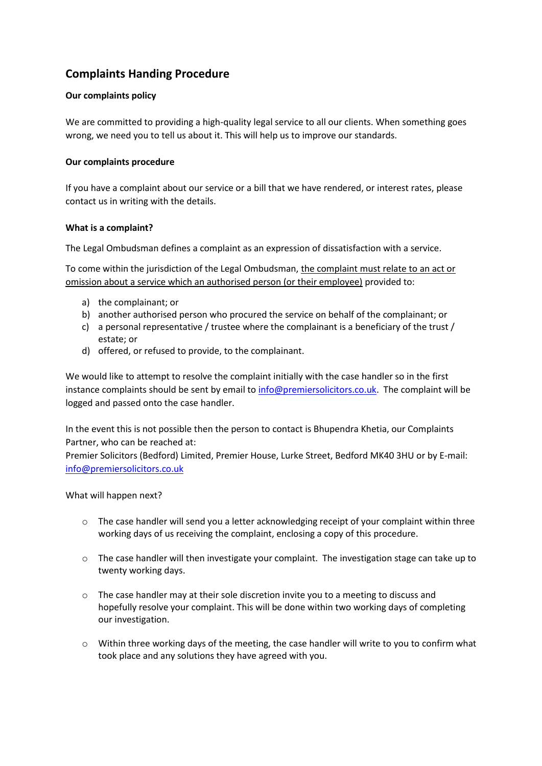# **Complaints Handing Procedure**

## **Our complaints policy**

We are committed to providing a high-quality legal service to all our clients. When something goes wrong, we need you to tell us about it. This will help us to improve our standards.

### **Our complaints procedure**

If you have a complaint about our service or a bill that we have rendered, or interest rates, please contact us in writing with the details.

## **What is a complaint?**

The Legal Ombudsman defines a complaint as an expression of dissatisfaction with a service.

To come within the jurisdiction of the Legal Ombudsman, the complaint must relate to an act or omission about a service which an authorised person (or their employee) provided to:

- a) the complainant; or
- b) another authorised person who procured the service on behalf of the complainant; or
- c) a personal representative / trustee where the complainant is a beneficiary of the trust / estate; or
- d) offered, or refused to provide, to the complainant.

We would like to attempt to resolve the complaint initially with the case handler so in the first instance complaints should be sent by email t[o info@premiersolicitors.co.uk.](mailto:info@premiersolicitors.co.uk) The complaint will be logged and passed onto the case handler.

In the event this is not possible then the person to contact is Bhupendra Khetia, our Complaints Partner, who can be reached at:

Premier Solicitors (Bedford) Limited, Premier House, Lurke Street, Bedford MK40 3HU or by E-mail: [info@premiersolicitors.co.uk](mailto:info@premiersolicitors.co.uk)

#### What will happen next?

- $\circ$  The case handler will send you a letter acknowledging receipt of your complaint within three working days of us receiving the complaint, enclosing a copy of this procedure.
- $\circ$  The case handler will then investigate your complaint. The investigation stage can take up to twenty working days.
- $\circ$  The case handler may at their sole discretion invite you to a meeting to discuss and hopefully resolve your complaint. This will be done within two working days of completing our investigation.
- o Within three working days of the meeting, the case handler will write to you to confirm what took place and any solutions they have agreed with you.